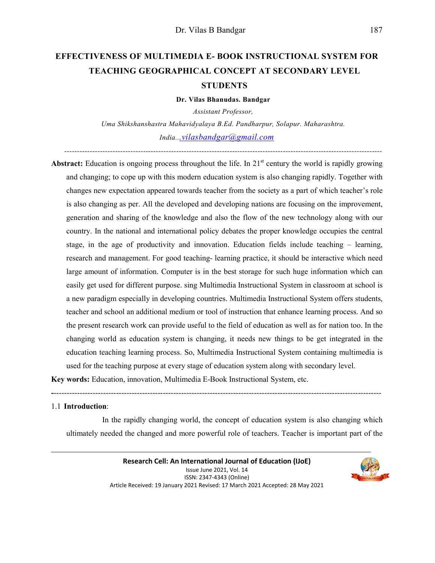# **EFFECTIVENESS OF MULTIMEDIA E- BOOK INSTRUCTIONAL SYSTEM FOR TEACHING GEOGRAPHICAL CONCEPT AT SECONDARY LEVEL STUDENTS**

**Dr. Vilas Bhanudas. Bandgar** 

*Assistant Professor, Uma Shikshanshastra Mahavidyalaya B.Ed. Pandharpur, Solapur. Maharashtra. India...vilasbandgar@gmail.com*

*-----------------------------------------------------------------------------------------------------------------------------* 

**Abstract:** Education is ongoing process throughout the life. In 21<sup>st</sup> century the world is rapidly growing and changing; to cope up with this modern education system is also changing rapidly. Together with changes new expectation appeared towards teacher from the society as a part of which teacher's role is also changing as per. All the developed and developing nations are focusing on the improvement, generation and sharing of the knowledge and also the flow of the new technology along with our country. In the national and international policy debates the proper knowledge occupies the central stage, in the age of productivity and innovation. Education fields include teaching – learning, research and management. For good teaching- learning practice, it should be interactive which need large amount of information. Computer is in the best storage for such huge information which can easily get used for different purpose. sing Multimedia Instructional System in classroom at school is a new paradigm especially in developing countries. Multimedia Instructional System offers students, teacher and school an additional medium or tool of instruction that enhance learning process. And so the present research work can provide useful to the field of education as well as for nation too. In the changing world as education system is changing, it needs new things to be get integrated in the education teaching learning process. So, Multimedia Instructional System containing multimedia is used for the teaching purpose at every stage of education system along with secondary level.

**Key words:** Education, innovation, Multimedia E-Book Instructional System, etc.

1.1 **Introduction**:

 In the rapidly changing world, the concept of education system is also changing which ultimately needed the changed and more powerful role of teachers. Teacher is important part of the

**-**------------------------------------------------------------------------------------------------------------------------------

**Research Cell: An International Journal of Education (IJoE)**  Issue June 2021, Vol. 14 ISSN: 2347-4343 (Online) Article Received: 19 January 2021 Revised: 17 March 2021 Accepted: 28 May 2021

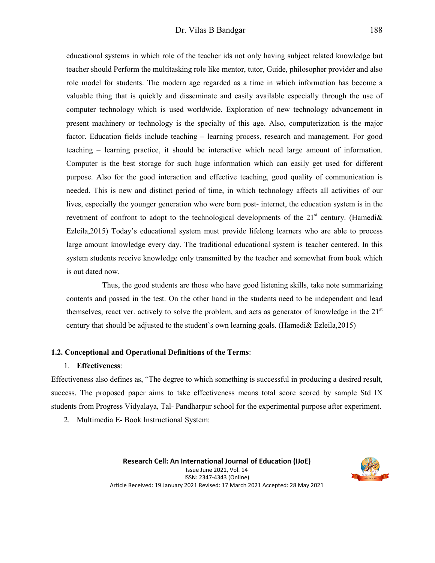educational systems in which role of the teacher ids not only having subject related knowledge but teacher should Perform the multitasking role like mentor, tutor, Guide, philosopher provider and also role model for students. The modern age regarded as a time in which information has become a valuable thing that is quickly and disseminate and easily available especially through the use of computer technology which is used worldwide. Exploration of new technology advancement in present machinery or technology is the specialty of this age. Also, computerization is the major factor. Education fields include teaching – learning process, research and management. For good teaching – learning practice, it should be interactive which need large amount of information. Computer is the best storage for such huge information which can easily get used for different purpose. Also for the good interaction and effective teaching, good quality of communication is needed. This is new and distinct period of time, in which technology affects all activities of our lives, especially the younger generation who were born post- internet, the education system is in the revetment of confront to adopt to the technological developments of the  $21<sup>st</sup>$  century. (Hamedi $\&$ Ezleila,2015) Today's educational system must provide lifelong learners who are able to process large amount knowledge every day. The traditional educational system is teacher centered. In this system students receive knowledge only transmitted by the teacher and somewhat from book which is out dated now.

 Thus, the good students are those who have good listening skills, take note summarizing contents and passed in the test. On the other hand in the students need to be independent and lead themselves, react ver. actively to solve the problem, and acts as generator of knowledge in the  $21<sup>st</sup>$ century that should be adjusted to the student's own learning goals. (Hamedi& Ezleila,2015)

#### **1.2. Conceptional and Operational Definitions of the Terms**:

#### 1. **Effectiveness**:

Effectiveness also defines as, "The degree to which something is successful in producing a desired result, success. The proposed paper aims to take effectiveness means total score scored by sample Std IX students from Progress Vidyalaya, Tal- Pandharpur school for the experimental purpose after experiment.

2. Multimedia E- Book Instructional System:

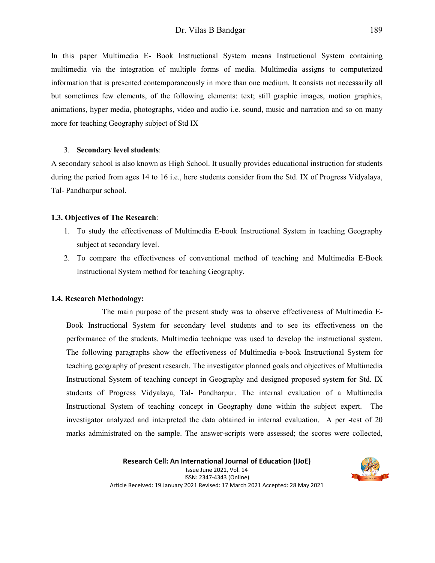In this paper Multimedia E- Book Instructional System means Instructional System containing multimedia via the integration of multiple forms of media. Multimedia assigns to computerized information that is presented contemporaneously in more than one medium. It consists not necessarily all but sometimes few elements, of the following elements: text; still graphic images, motion graphics, animations, hyper media, photographs, video and audio i.e. sound, music and narration and so on many more for teaching Geography subject of Std IX

#### 3. **Secondary level students**:

A secondary school is also known as High School. It usually provides educational instruction for students during the period from ages 14 to 16 i.e., here students consider from the Std. IX of Progress Vidyalaya, Tal- Pandharpur school.

#### **1.3. Objectives of The Research**:

- 1. To study the effectiveness of Multimedia E-book Instructional System in teaching Geography subject at secondary level.
- 2. To compare the effectiveness of conventional method of teaching and Multimedia E-Book Instructional System method for teaching Geography.

## **1.4. Research Methodology:**

 The main purpose of the present study was to observe effectiveness of Multimedia E-Book Instructional System for secondary level students and to see its effectiveness on the performance of the students. Multimedia technique was used to develop the instructional system. The following paragraphs show the effectiveness of Multimedia e-book Instructional System for teaching geography of present research. The investigator planned goals and objectives of Multimedia Instructional System of teaching concept in Geography and designed proposed system for Std. IX students of Progress Vidyalaya, Tal- Pandharpur. The internal evaluation of a Multimedia Instructional System of teaching concept in Geography done within the subject expert. The investigator analyzed and interpreted the data obtained in internal evaluation. A per -test of 20 marks administrated on the sample. The answer-scripts were assessed; the scores were collected,

> **Research Cell: An International Journal of Education (IJoE)**  Issue June 2021, Vol. 14 ISSN: 2347-4343 (Online) Article Received: 19 January 2021 Revised: 17 March 2021 Accepted: 28 May 2021

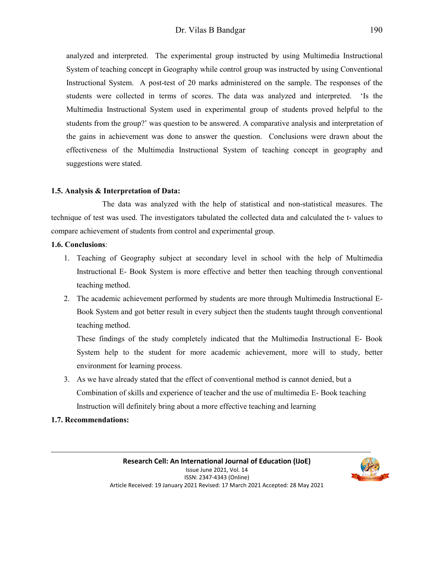analyzed and interpreted. The experimental group instructed by using Multimedia Instructional System of teaching concept in Geography while control group was instructed by using Conventional Instructional System. A post-test of 20 marks administered on the sample. The responses of the students were collected in terms of scores. The data was analyzed and interpreted. 'Is the Multimedia Instructional System used in experimental group of students proved helpful to the students from the group?' was question to be answered. A comparative analysis and interpretation of the gains in achievement was done to answer the question. Conclusions were drawn about the effectiveness of the Multimedia Instructional System of teaching concept in geography and suggestions were stated.

## **1.5. Analysis & Interpretation of Data:**

 The data was analyzed with the help of statistical and non-statistical measures. The technique of test was used. The investigators tabulated the collected data and calculated the t- values to compare achievement of students from control and experimental group.

#### **1.6. Conclusions**:

- 1. Teaching of Geography subject at secondary level in school with the help of Multimedia Instructional E- Book System is more effective and better then teaching through conventional teaching method.
- 2. The academic achievement performed by students are more through Multimedia Instructional E-Book System and got better result in every subject then the students taught through conventional teaching method.

These findings of the study completely indicated that the Multimedia Instructional E- Book System help to the student for more academic achievement, more will to study, better environment for learning process.

3. As we have already stated that the effect of conventional method is cannot denied, but a Combination of skills and experience of teacher and the use of multimedia E- Book teaching Instruction will definitely bring about a more effective teaching and learning

## **1.7. Recommendations:**